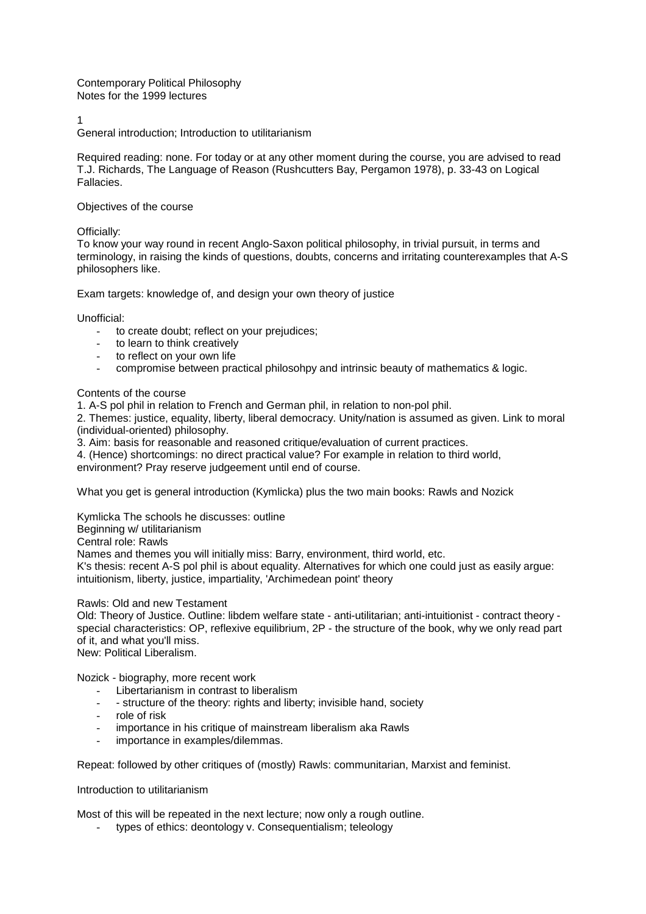Contemporary Political Philosophy Notes for the 1999 lectures

1

General introduction; Introduction to utilitarianism

Required reading: none. For today or at any other moment during the course, you are advised to read T.J. Richards, The Language of Reason (Rushcutters Bay, Pergamon 1978), p. 33-43 on Logical Fallacies.

Objectives of the course

Officially:

To know your way round in recent Anglo-Saxon political philosophy, in trivial pursuit, in terms and terminology, in raising the kinds of questions, doubts, concerns and irritating counterexamples that A-S philosophers like.

Exam targets: knowledge of, and design your own theory of justice

Unofficial:

- to create doubt; reflect on your prejudices;
- to learn to think creatively
- to reflect on your own life
- compromise between practical philosohpy and intrinsic beauty of mathematics & logic.

Contents of the course

1. A-S pol phil in relation to French and German phil, in relation to non-pol phil.

2. Themes: justice, equality, liberty, liberal democracy. Unity/nation is assumed as given. Link to moral (individual-oriented) philosophy.

3. Aim: basis for reasonable and reasoned critique/evaluation of current practices.

4. (Hence) shortcomings: no direct practical value? For example in relation to third world,

environment? Pray reserve judgeement until end of course.

What you get is general introduction (Kymlicka) plus the two main books: Rawls and Nozick

Kymlicka The schools he discusses: outline

Beginning w/ utilitarianism Central role: Rawls

Names and themes you will initially miss: Barry, environment, third world, etc.

K's thesis: recent A-S pol phil is about equality. Alternatives for which one could just as easily argue: intuitionism, liberty, justice, impartiality, 'Archimedean point' theory

Rawls: Old and new Testament

Old: Theory of Justice. Outline: libdem welfare state - anti-utilitarian; anti-intuitionist - contract theory special characteristics: OP, reflexive equilibrium, 2P - the structure of the book, why we only read part of it, and what you'll miss.

New: Political Liberalism.

Nozick - biography, more recent work

- Libertarianism in contrast to liberalism
- structure of the theory: rights and liberty; invisible hand, society
- role of risk
- importance in his critique of mainstream liberalism aka Rawls
- importance in examples/dilemmas.

Repeat: followed by other critiques of (mostly) Rawls: communitarian, Marxist and feminist.

Introduction to utilitarianism

Most of this will be repeated in the next lecture; now only a rough outline.

types of ethics: deontology v. Consequentialism; teleology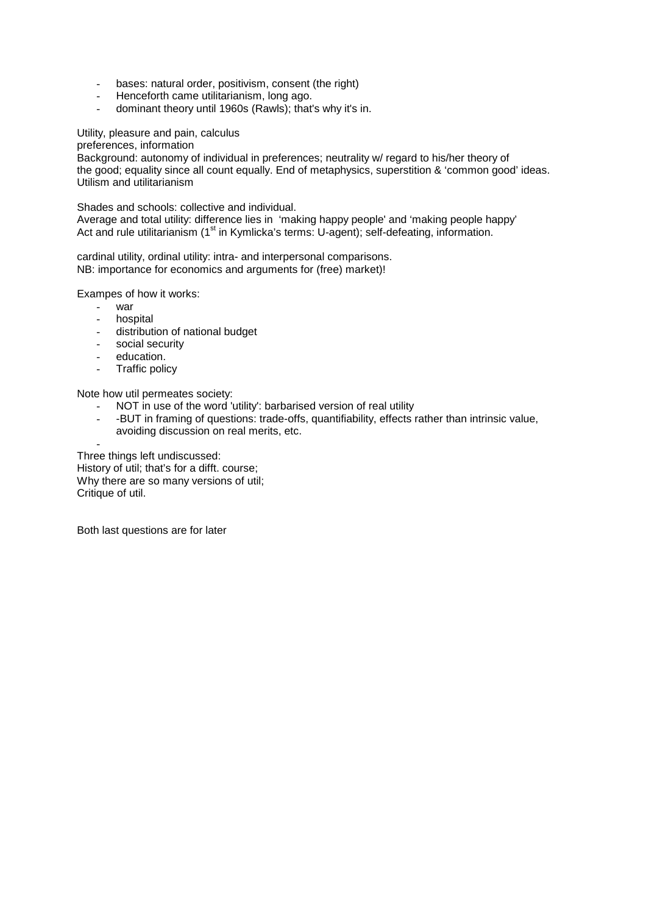- bases: natural order, positivism, consent (the right)
- Henceforth came utilitarianism, long ago.
- dominant theory until 1960s (Rawls); that's why it's in.

Utility, pleasure and pain, calculus

preferences, information

Background: autonomy of individual in preferences; neutrality w/ regard to his/her theory of the good; equality since all count equally. End of metaphysics, superstition & 'common good' ideas. Utilism and utilitarianism

Shades and schools: collective and individual.

Average and total utility: difference lies in 'making happy people' and 'making people happy' Act and rule utilitarianism (1<sup>st</sup> in Kymlicka's terms: U-agent); self-defeating, information.

cardinal utility, ordinal utility: intra- and interpersonal comparisons. NB: importance for economics and arguments for (free) market)!

Exampes of how it works:

- war
- hospital
- distribution of national budget
- social security
- education.
- Traffic policy

Note how util permeates society:

- NOT in use of the word 'utility': barbarised version of real utility
- -BUT in framing of questions: trade-offs, quantifiability, effects rather than intrinsic value, avoiding discussion on real merits, etc.

- Three things left undiscussed: History of util; that's for a difft. course; Why there are so many versions of util; Critique of util.

Both last questions are for later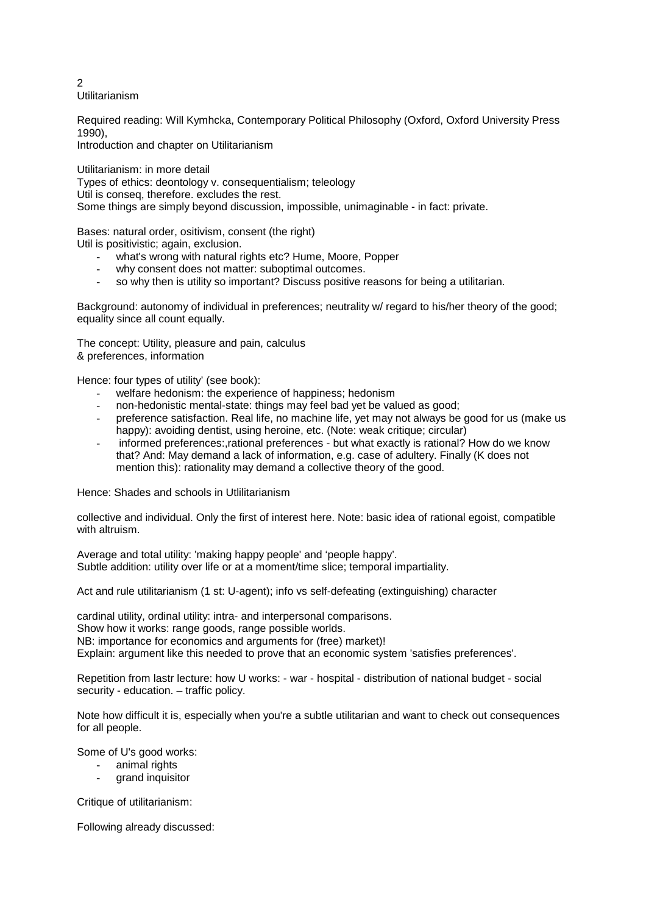Utilitarianism

Required reading: Will Kymhcka, Contemporary Political Philosophy (Oxford, Oxford University Press 1990),

Introduction and chapter on Utilitarianism

Utilitarianism: in more detail

Types of ethics: deontology v. consequentialism; teleology Util is conseq, therefore. excludes the rest. Some things are simply beyond discussion, impossible, unimaginable - in fact: private.

Bases: natural order, ositivism, consent (the right)

Util is positivistic; again, exclusion.

- what's wrong with natural rights etc? Hume, Moore, Popper
- why consent does not matter: suboptimal outcomes.
- so why then is utility so important? Discuss positive reasons for being a utilitarian.

Background: autonomy of individual in preferences; neutrality w/ regard to his/her theory of the good; equality since all count equally.

The concept: Utility, pleasure and pain, calculus & preferences, information

Hence: four types of utility' (see book):

- welfare hedonism: the experience of happiness; hedonism
- non-hedonistic mental-state: things may feel bad yet be valued as good;
- preference satisfaction. Real life, no machine life, yet may not always be good for us (make us happy): avoiding dentist, using heroine, etc. (Note: weak critique; circular)
- informed preferences:,rational preferences but what exactly is rational? How do we know that? And: May demand a lack of information, e.g. case of adultery. Finally (K does not mention this): rationality may demand a collective theory of the good.

Hence: Shades and schools in Utlilitarianism

collective and individual. Only the first of interest here. Note: basic idea of rational egoist, compatible with altruism.

Average and total utility: 'making happy people' and 'people happy'. Subtle addition: utility over life or at a moment/time slice; temporal impartiality.

Act and rule utilitarianism (1 st: U-agent); info vs self-defeating (extinguishing) character

cardinal utility, ordinal utility: intra- and interpersonal comparisons.

Show how it works: range goods, range possible worlds.

NB: importance for economics and arguments for (free) market)!

Explain: argument like this needed to prove that an economic system 'satisfies preferences'.

Repetition from lastr lecture: how U works: - war - hospital - distribution of national budget - social security - education. – traffic policy.

Note how difficult it is, especially when you're a subtle utilitarian and want to check out consequences for all people.

Some of U's good works:

- animal rights
- grand inquisitor

Critique of utilitarianism:

Following already discussed:

 $\mathfrak{p}$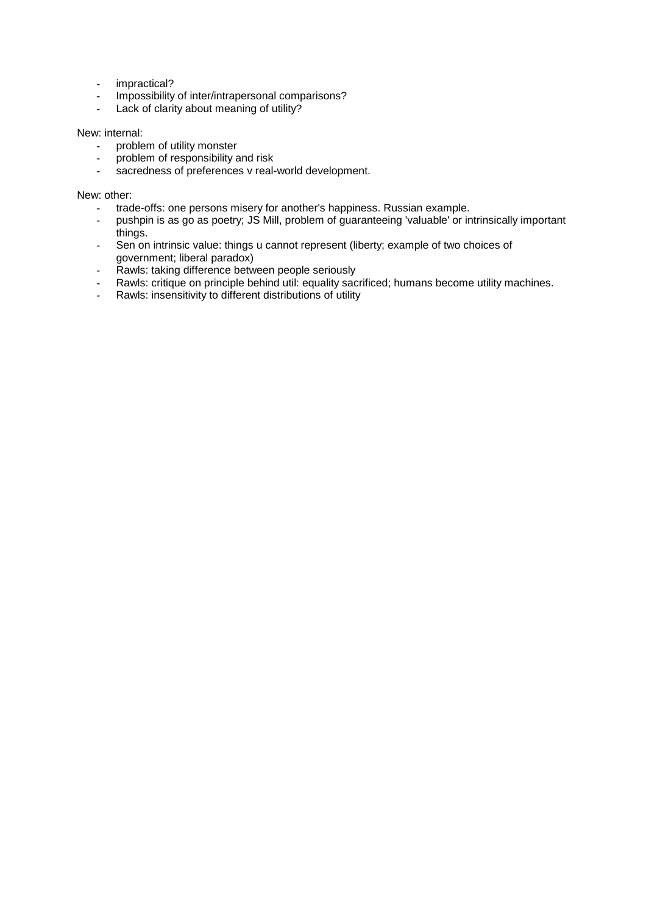- impractical?
- Impossibility of inter/intrapersonal comparisons?<br>- Lack of clarity about meaning of utility?
- Lack of clarity about meaning of utility?

## New: internal:

- problem of utility monster
- problem of responsibility and risk
- sacredness of preferences v real-world development.

New: other:

- trade-offs: one persons misery for another's happiness. Russian example.
- pushpin is as go as poetry; JS Mill, problem of guaranteeing 'valuable' or intrinsically important things.
- Sen on intrinsic value: things u cannot represent (liberty; example of two choices of government; liberal paradox)
- Rawls: taking difference between people seriously
- Rawls: critique on principle behind util: equality sacrificed; humans become utility machines.
- Rawls: insensitivity to different distributions of utility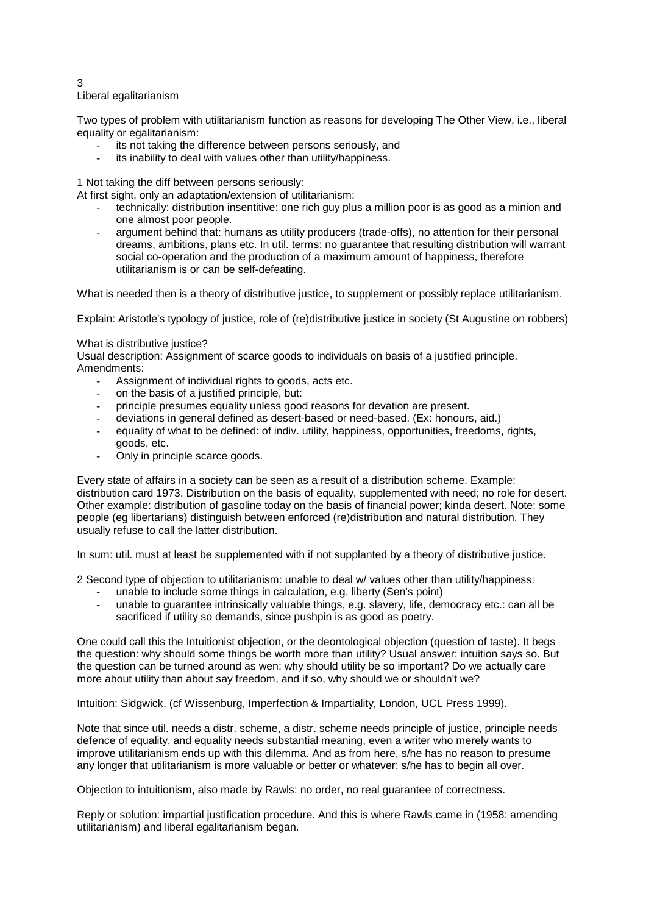#### 3 Liberal egalitarianism

Two types of problem with utilitarianism function as reasons for developing The Other View, i.e., liberal equality or egalitarianism:

- its not taking the difference between persons seriously, and
- its inability to deal with values other than utility/happiness.

1 Not taking the diff between persons seriously:

At first sight, only an adaptation/extension of utilitarianism:

- technically: distribution insentitive: one rich guy plus a million poor is as good as a minion and one almost poor people.
- argument behind that: humans as utility producers (trade-offs), no attention for their personal dreams, ambitions, plans etc. In util. terms: no guarantee that resulting distribution will warrant social co-operation and the production of a maximum amount of happiness, therefore utilitarianism is or can be self-defeating.

What is needed then is a theory of distributive justice, to supplement or possibly replace utilitarianism.

Explain: Aristotle's typology of justice, role of (re)distributive justice in society (St Augustine on robbers)

## What is distributive justice?

Usual description: Assignment of scarce goods to individuals on basis of a justified principle. Amendments:

- Assignment of individual rights to goods, acts etc.
- on the basis of a justified principle, but:
- principle presumes equality unless good reasons for devation are present.
- deviations in general defined as desert-based or need-based. (Ex: honours, aid.)
- equality of what to be defined: of indiv. utility, happiness, opportunities, freedoms, rights, goods, etc.
- Only in principle scarce goods.

Every state of affairs in a society can be seen as a result of a distribution scheme. Example: distribution card 1973. Distribution on the basis of equality, supplemented with need; no role for desert. Other example: distribution of gasoline today on the basis of financial power; kinda desert. Note: some people (eg libertarians) distinguish between enforced (re)distribution and natural distribution. They usually refuse to call the latter distribution.

In sum: util. must at least be supplemented with if not supplanted by a theory of distributive justice.

2 Second type of objection to utilitarianism: unable to deal w/ values other than utility/happiness:

- unable to include some things in calculation, e.g. liberty (Sen's point)
- unable to guarantee intrinsically valuable things, e.g. slavery, life, democracy etc.: can all be sacrificed if utility so demands, since pushpin is as good as poetry.

One could call this the Intuitionist objection, or the deontological objection (question of taste). It begs the question: why should some things be worth more than utility? Usual answer: intuition says so. But the question can be turned around as wen: why should utility be so important? Do we actually care more about utility than about say freedom, and if so, why should we or shouldn't we?

Intuition: Sidgwick. (cf Wissenburg, Imperfection & Impartiality, London, UCL Press 1999).

Note that since util. needs a distr. scheme, a distr. scheme needs principle of justice, principle needs defence of equality, and equality needs substantial meaning, even a writer who merely wants to improve utilitarianism ends up with this dilemma. And as from here, s/he has no reason to presume any longer that utilitarianism is more valuable or better or whatever: s/he has to begin all over.

Objection to intuitionism, also made by Rawls: no order, no real guarantee of correctness.

Reply or solution: impartial justification procedure. And this is where Rawls came in (1958: amending utilitarianism) and liberal egalitarianism began.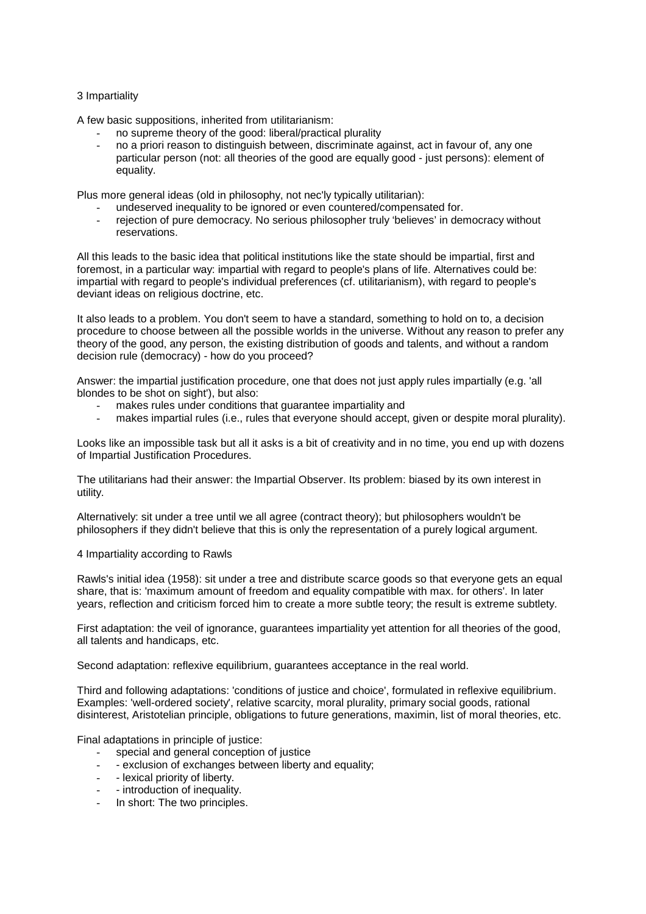## 3 Impartiality

A few basic suppositions, inherited from utilitarianism:

- no supreme theory of the good: liberal/practical plurality
- no a priori reason to distinguish between, discriminate against, act in favour of, any one particular person (not: all theories of the good are equally good - just persons): element of equality.

Plus more general ideas (old in philosophy, not nec'ly typically utilitarian):

- undeserved inequality to be ignored or even countered/compensated for.
- rejection of pure democracy. No serious philosopher truly 'believes' in democracy without reservations.

All this leads to the basic idea that political institutions like the state should be impartial, first and foremost, in a particular way: impartial with regard to people's plans of life. Alternatives could be: impartial with regard to people's individual preferences (cf. utilitarianism), with regard to people's deviant ideas on religious doctrine, etc.

It also leads to a problem. You don't seem to have a standard, something to hold on to, a decision procedure to choose between all the possible worlds in the universe. Without any reason to prefer any theory of the good, any person, the existing distribution of goods and talents, and without a random decision rule (democracy) - how do you proceed?

Answer: the impartial justification procedure, one that does not just apply rules impartially (e.g. 'all blondes to be shot on sight'), but also:

- makes rules under conditions that guarantee impartiality and
- makes impartial rules (i.e., rules that everyone should accept, given or despite moral plurality).

Looks like an impossible task but all it asks is a bit of creativity and in no time, you end up with dozens of Impartial Justification Procedures.

The utilitarians had their answer: the Impartial Observer. Its problem: biased by its own interest in utility.

Alternatively: sit under a tree until we all agree (contract theory); but philosophers wouldn't be philosophers if they didn't believe that this is only the representation of a purely logical argument.

## 4 Impartiality according to Rawls

Rawls's initial idea (1958): sit under a tree and distribute scarce goods so that everyone gets an equal share, that is: 'maximum amount of freedom and equality compatible with max. for others'. In later years, reflection and criticism forced him to create a more subtle teory; the result is extreme subtlety.

First adaptation: the veil of ignorance, guarantees impartiality yet attention for all theories of the good, all talents and handicaps, etc.

Second adaptation: reflexive equilibrium, guarantees acceptance in the real world.

Third and following adaptations: 'conditions of justice and choice', formulated in reflexive equilibrium. Examples: 'well-ordered society', relative scarcity, moral plurality, primary social goods, rational disinterest, Aristotelian principle, obligations to future generations, maximin, list of moral theories, etc.

Final adaptations in principle of justice:

- special and general conception of justice
- exclusion of exchanges between liberty and equality;
- lexical priority of liberty.
- introduction of inequality.
- In short: The two principles.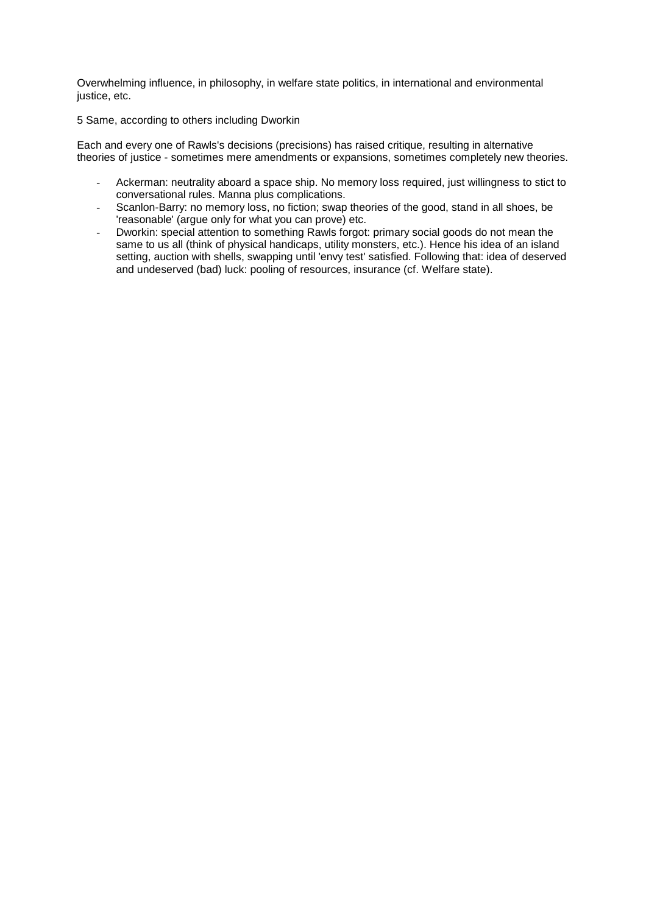Overwhelming influence, in philosophy, in welfare state politics, in international and environmental justice, etc.

5 Same, according to others including Dworkin

Each and every one of Rawls's decisions (precisions) has raised critique, resulting in alternative theories of justice - sometimes mere amendments or expansions, sometimes completely new theories.

- Ackerman: neutrality aboard a space ship. No memory loss required, just willingness to stict to conversational rules. Manna plus complications.
- Scanlon-Barry: no memory loss, no fiction; swap theories of the good, stand in all shoes, be 'reasonable' (argue only for what you can prove) etc.
- Dworkin: special attention to something Rawls forgot: primary social goods do not mean the same to us all (think of physical handicaps, utility monsters, etc.). Hence his idea of an island setting, auction with shells, swapping until 'envy test' satisfied. Following that: idea of deserved and undeserved (bad) luck: pooling of resources, insurance (cf. Welfare state).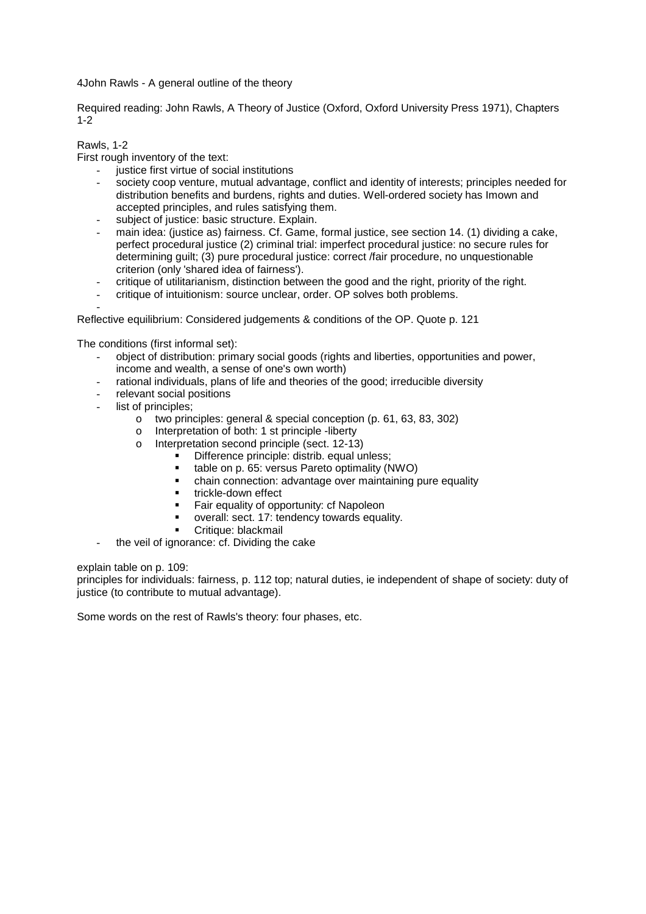4John Rawls - A general outline of the theory

Required reading: John Rawls, A Theory of Justice (Oxford, Oxford University Press 1971), Chapters 1-2

# Rawls, 1-2

First rough inventory of the text:

- justice first virtue of social institutions
- society coop venture, mutual advantage, conflict and identity of interests; principles needed for distribution benefits and burdens, rights and duties. Well-ordered society has Imown and accepted principles, and rules satisfying them.
- subject of justice: basic structure. Explain.
- main idea: (justice as) fairness. Cf. Game, formal justice, see section 14. (1) dividing a cake, perfect procedural justice (2) criminal trial: imperfect procedural justice: no secure rules for determining guilt; (3) pure procedural justice: correct /fair procedure, no unquestionable criterion (only 'shared idea of fairness').
- critique of utilitarianism, distinction between the good and the right, priority of the right.
- critique of intuitionism: source unclear, order. OP solves both problems.

- Reflective equilibrium: Considered judgements & conditions of the OP. Quote p. 121

The conditions (first informal set):

- object of distribution: primary social goods (rights and liberties, opportunities and power, income and wealth, a sense of one's own worth)
- rational individuals, plans of life and theories of the good; irreducible diversity
- relevant social positions
- list of principles;
	- o two principles: general & special conception (p. 61, 63, 83, 302)
	- o Interpretation of both: 1 st principle -liberty
	- o Interpretation second principle (sect. 12-13)
		- Difference principle: distrib. equal unless;
		- **table on p. 65: versus Pareto optimality (NWO)**
		- chain connection: advantage over maintaining pure equality
		- trickle-down effect
		- Fair equality of opportunity: cf Napoleon
		- overall: sect. 17: tendency towards equality.
		- Critique: blackmail
- the veil of ignorance: cf. Dividing the cake

explain table on p. 109:

principles for individuals: fairness, p. 112 top; natural duties, ie independent of shape of society: duty of justice (to contribute to mutual advantage).

Some words on the rest of Rawls's theory: four phases, etc.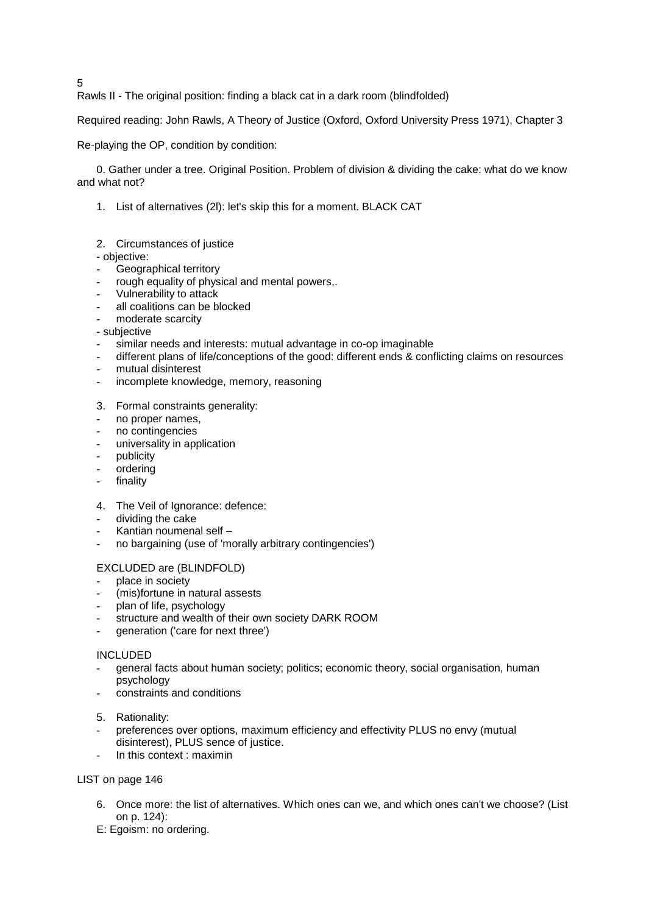5

Rawls II - The original position: finding a black cat in a dark room (blindfolded)

Required reading: John Rawls, A Theory of Justice (Oxford, Oxford University Press 1971), Chapter 3

Re-playing the OP, condition by condition:

0. Gather under a tree. Original Position. Problem of division & dividing the cake: what do we know and what not?

- 1. List of alternatives (2l): let's skip this for a moment. BLACK CAT
- 2. Circumstances of justice

- objective:

- Geographical territory
- rough equality of physical and mental powers,.
- Vulnerability to attack
- all coalitions can be blocked
- moderate scarcity
- subjective
- similar needs and interests: mutual advantage in co-op imaginable
- different plans of life/conceptions of the good: different ends & conflicting claims on resources
- mutual disinterest
- incomplete knowledge, memory, reasoning
- 3. Formal constraints generality:
- no proper names,
- no contingencies
- universality in application
- publicity
- ordering
- finality
- 4. The Veil of Ignorance: defence:
- dividing the cake
- Kantian noumenal self –
- no bargaining (use of 'morally arbitrary contingencies')
- EXCLUDED are (BLINDFOLD)
- place in society
- (mis)fortune in natural assests
- plan of life, psychology
- structure and wealth of their own society DARK ROOM
- generation ('care for next three')

## INCLUDED

- general facts about human society; politics; economic theory, social organisation, human psychology
- constraints and conditions
- 5. Rationality:
- preferences over options, maximum efficiency and effectivity PLUS no envy (mutual disinterest), PLUS sence of justice.
- In this context : maximin

## LIST on page 146

- 6. Once more: the list of alternatives. Which ones can we, and which ones can't we choose? (List on p. 124):
- E: Egoism: no ordering.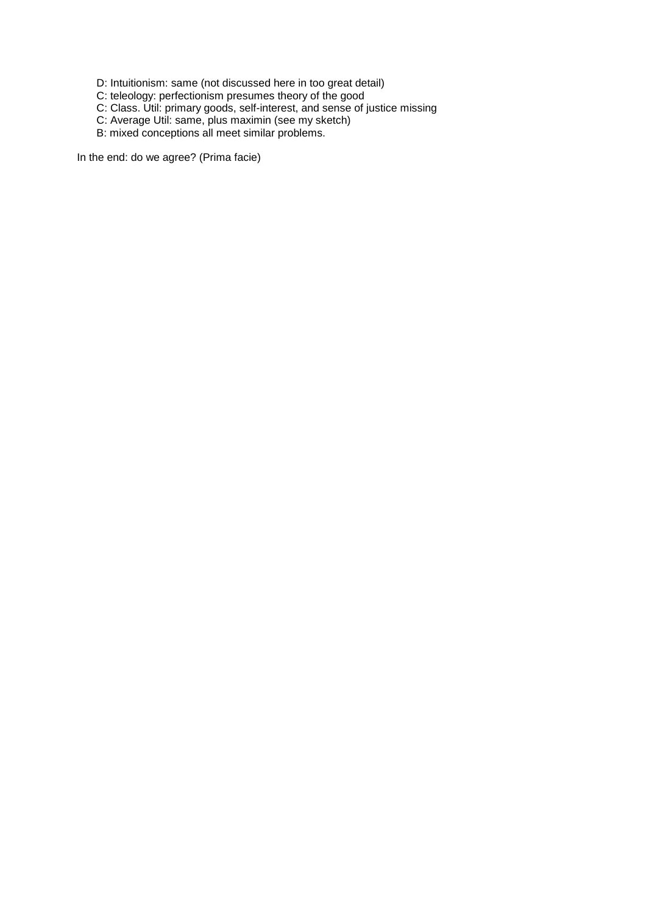D: Intuitionism: same (not discussed here in too great detail)

C: teleology: perfectionism presumes theory of the good

C: Class. Util: primary goods, self-interest, and sense of justice missing

- C: Average Util: same, plus maximin (see my sketch)
- B: mixed conceptions all meet similar problems.

In the end: do we agree? (Prima facie)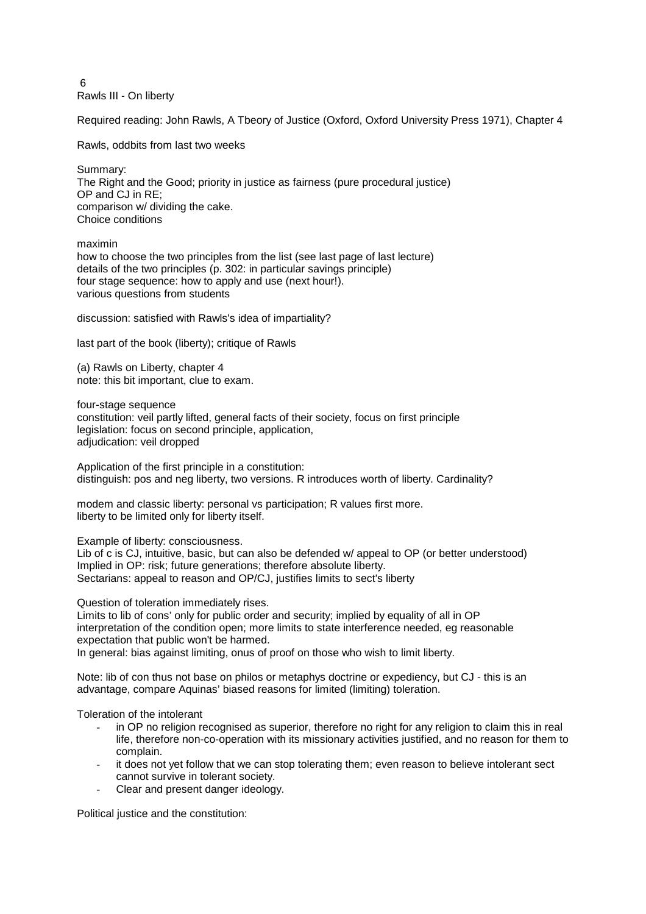6 Rawls III - On liberty

Required reading: John Rawls, A Tbeory of Justice (Oxford, Oxford University Press 1971), Chapter 4

Rawls, oddbits from last two weeks

Summary: The Right and the Good; priority in justice as fairness (pure procedural justice) OP and CJ in RE; comparison w/ dividing the cake. Choice conditions

maximin how to choose the two principles from the list (see last page of last lecture) details of the two principles (p. 302: in particular savings principle) four stage sequence: how to apply and use (next hour!). various questions from students

discussion: satisfied with Rawls's idea of impartiality?

last part of the book (liberty); critique of Rawls

(a) Rawls on Liberty, chapter 4 note: this bit important, clue to exam.

four-stage sequence constitution: veil partly lifted, general facts of their society, focus on first principle legislation: focus on second principle, application, adjudication: veil dropped

Application of the first principle in a constitution: distinguish: pos and neg liberty, two versions. R introduces worth of liberty. Cardinality?

modem and classic liberty: personal vs participation; R values first more. liberty to be limited only for liberty itself.

Example of liberty: consciousness.

Lib of c is CJ, intuitive, basic, but can also be defended w/ appeal to OP (or better understood) Implied in OP: risk; future generations; therefore absolute liberty. Sectarians: appeal to reason and OP/CJ, justifies limits to sect's liberty

Question of toleration immediately rises.

Limits to lib of cons' only for public order and security; implied by equality of all in OP interpretation of the condition open; more limits to state interference needed, eg reasonable expectation that public won't be harmed. In general: bias against limiting, onus of proof on those who wish to limit liberty.

Note: lib of con thus not base on philos or metaphys doctrine or expediency, but CJ - this is an

advantage, compare Aquinas' biased reasons for limited (limiting) toleration.

Toleration of the intolerant

- in OP no religion recognised as superior, therefore no right for any religion to claim this in real life, therefore non-co-operation with its missionary activities justified, and no reason for them to complain.
- it does not yet follow that we can stop tolerating them; even reason to believe intolerant sect cannot survive in tolerant society.
- Clear and present danger ideology.

Political justice and the constitution: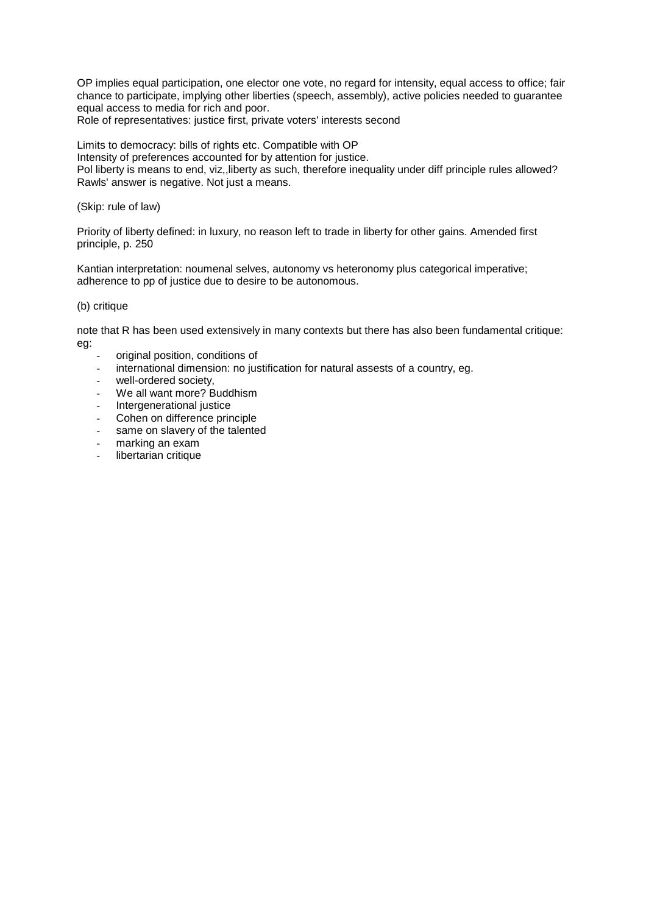OP implies equal participation, one elector one vote, no regard for intensity, equal access to office; fair chance to participate, implying other liberties (speech, assembly), active policies needed to guarantee equal access to media for rich and poor.

Role of representatives: justice first, private voters' interests second

Limits to democracy: bills of rights etc. Compatible with OP Intensity of preferences accounted for by attention for justice. Pol liberty is means to end, viz,,liberty as such, therefore inequality under diff principle rules allowed? Rawls' answer is negative. Not just a means.

(Skip: rule of law)

Priority of liberty defined: in luxury, no reason left to trade in liberty for other gains. Amended first principle, p. 250

Kantian interpretation: noumenal selves, autonomy vs heteronomy plus categorical imperative; adherence to pp of justice due to desire to be autonomous.

## (b) critique

note that R has been used extensively in many contexts but there has also been fundamental critique: eg:

- original position, conditions of
- international dimension: no justification for natural assests of a country, eg.
- well-ordered society.
- We all want more? Buddhism
- Intergenerational justice
- Cohen on difference principle
- same on slavery of the talented
- marking an exam
- libertarian critique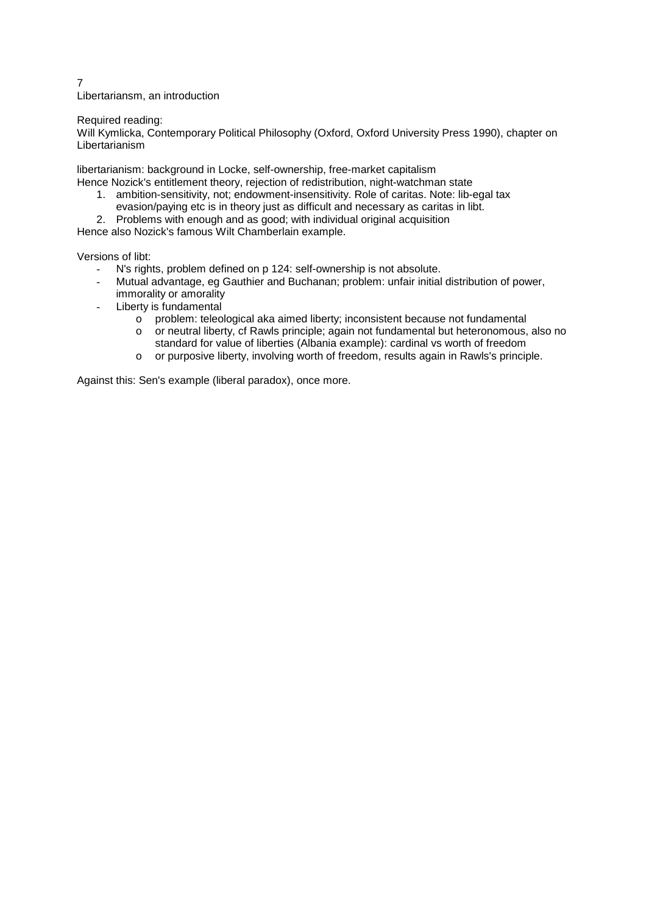7 Libertariansm, an introduction

## Required reading:

Will Kymlicka, Contemporary Political Philosophy (Oxford, Oxford University Press 1990), chapter on Libertarianism

libertarianism: background in Locke, self-ownership, free-market capitalism Hence Nozick's entitlement theory, rejection of redistribution, night-watchman state

- 1. ambition-sensitivity, not; endowment-insensitivity. Role of caritas. Note: lib-egal tax evasion/paying etc is in theory just as difficult and necessary as caritas in libt.
- 2. Problems with enough and as good; with individual original acquisition

Hence also Nozick's famous Wilt Chamberlain example.

Versions of libt:

- N's rights, problem defined on p 124: self-ownership is not absolute.
- Mutual advantage, eg Gauthier and Buchanan; problem: unfair initial distribution of power, immorality or amorality
- Liberty is fundamental
	- $\circ$  problem: teleological aka aimed liberty; inconsistent because not fundamental
	- o or neutral liberty, cf Rawls principle; again not fundamental but heteronomous, also no
		- standard for value of liberties (Albania example): cardinal vs worth of freedom
	- o or purposive liberty, involving worth of freedom, results again in Rawls's principle.

Against this: Sen's example (liberal paradox), once more.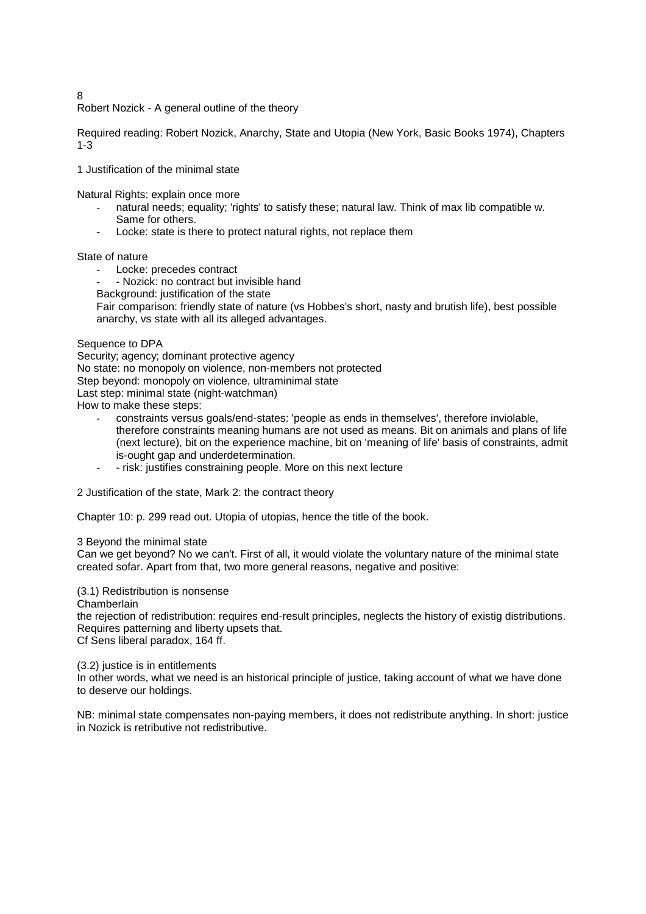8

Robert Nozick - A general outline of the theory

Required reading: Robert Nozick, Anarchy, State and Utopia (New York, Basic Books 1974), Chapters 1-3

1 Justification of the minimal state

Natural Rights: explain once more

- natural needs; equality; 'rights' to satisfy these; natural law. Think of max lib compatible w. Same for others.
- Locke: state is there to protect natural rights, not replace them

State of nature

- Locke: precedes contract
- Nozick: no contract but invisible hand
- Background: justification of the state

Fair comparison: friendly state of nature (vs Hobbes's short, nasty and brutish life), best possible anarchy, vs state with all its alleged advantages.

Sequence to DPA

Security; agency; dominant protective agency No state: no monopoly on violence, non-members not protected Step beyond: monopoly on violence, ultraminimal state Last step: minimal state (night-watchman) How to make these steps:

- constraints versus goals/end-states: 'people as ends in themselves', therefore inviolable, therefore constraints meaning humans are not used as means. Bit on animals and plans of life (next lecture), bit on the experience machine, bit on 'meaning of life' basis of constraints, admit is-ought gap and underdetermination.
- - risk: justifies constraining people. More on this next lecture
- 2 Justification of the state, Mark 2: the contract theory

Chapter 10: p. 299 read out. Utopia of utopias, hence the title of the book.

3 Beyond the minimal state

Can we get beyond? No we can't. First of all, it would violate the voluntary nature of the minimal state created sofar. Apart from that, two more general reasons, negative and positive:

# (3.1) Redistribution is nonsense

Chamberlain

the rejection of redistribution: requires end-result principles, neglects the history of existig distributions. Requires patterning and liberty upsets that. Cf Sens liberal paradox, 164 ff.

(3.2) justice is in entitlements

In other words, what we need is an historical principle of justice, taking account of what we have done to deserve our holdings.

NB: minimal state compensates non-paying members, it does not redistribute anything. In short: justice in Nozick is retributive not redistributive.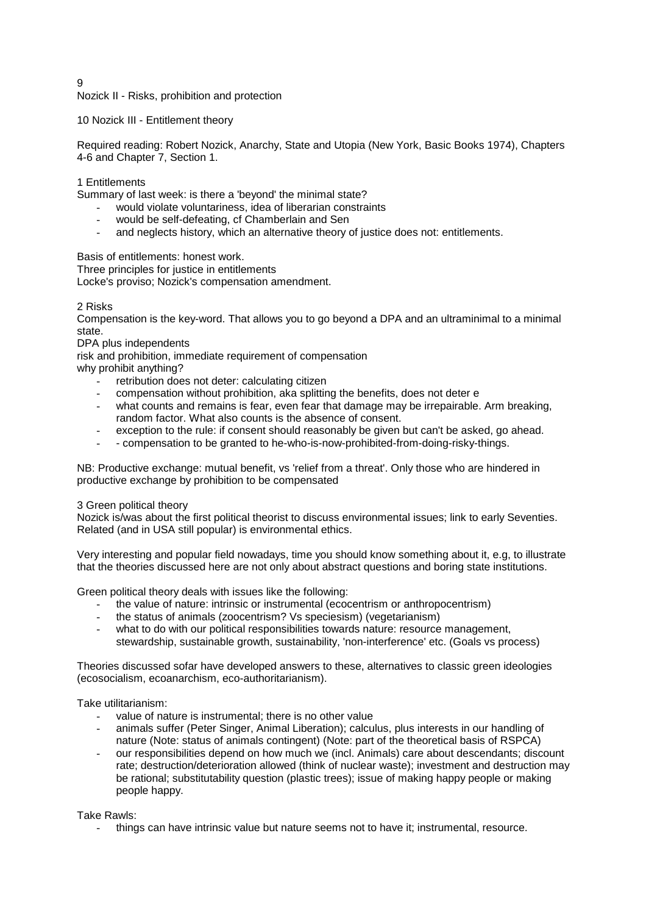$\Omega$ 

Nozick II - Risks, prohibition and protection

10 Nozick III - Entitlement theory

Required reading: Robert Nozick, Anarchy, State and Utopia (New York, Basic Books 1974), Chapters 4-6 and Chapter 7, Section 1.

1 Entitlements

Summary of last week: is there a 'beyond' the minimal state?

- would violate voluntariness, idea of liberarian constraints
- would be self-defeating, cf Chamberlain and Sen
- and neglects history, which an alternative theory of justice does not: entitlements.

Basis of entitlements: honest work.

Three principles for justice in entitlements

Locke's proviso; Nozick's compensation amendment.

## 2 Risks

Compensation is the key-word. That allows you to go beyond a DPA and an ultraminimal to a minimal state.

DPA plus independents

risk and prohibition, immediate requirement of compensation

why prohibit anything?

- retribution does not deter: calculating citizen
- compensation without prohibition, aka splitting the benefits, does not deter e
- what counts and remains is fear, even fear that damage may be irrepairable. Arm breaking, random factor. What also counts is the absence of consent.
- exception to the rule: if consent should reasonably be given but can't be asked, go ahead.
- compensation to be granted to he-who-is-now-prohibited-from-doing-risky-things.

NB: Productive exchange: mutual benefit, vs 'relief from a threat'. Only those who are hindered in productive exchange by prohibition to be compensated

3 Green political theory

Nozick is/was about the first political theorist to discuss environmental issues; link to early Seventies. Related (and in USA still popular) is environmental ethics.

Very interesting and popular field nowadays, time you should know something about it, e.g, to illustrate that the theories discussed here are not only about abstract questions and boring state institutions.

Green political theory deals with issues like the following:

- the value of nature: intrinsic or instrumental (ecocentrism or anthropocentrism)
- the status of animals (zoocentrism? Vs speciesism) (vegetarianism)
- what to do with our political responsibilities towards nature: resource management, stewardship, sustainable growth, sustainability, 'non-interference' etc. (Goals vs process)

Theories discussed sofar have developed answers to these, alternatives to classic green ideologies (ecosocialism, ecoanarchism, eco-authoritarianism).

Take utilitarianism:

- value of nature is instrumental; there is no other value
- animals suffer (Peter Singer, Animal Liberation); calculus, plus interests in our handling of nature (Note: status of animals contingent) (Note: part of the theoretical basis of RSPCA)
- our responsibilities depend on how much we (incl. Animals) care about descendants; discount rate; destruction/deterioration allowed (think of nuclear waste); investment and destruction may be rational; substitutability question (plastic trees); issue of making happy people or making people happy.

Take Rawls:

- things can have intrinsic value but nature seems not to have it; instrumental, resource.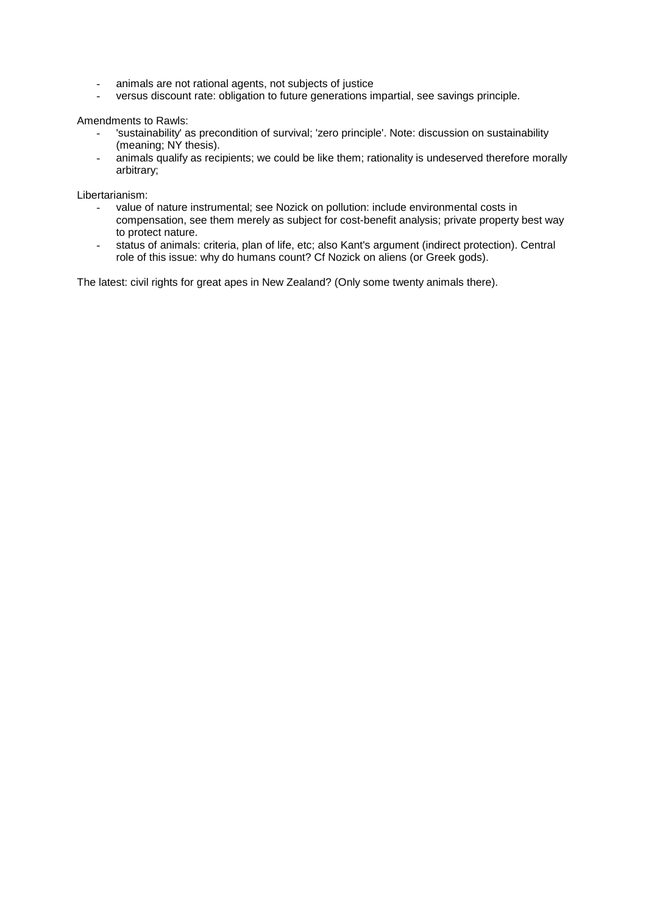- animals are not rational agents, not subjects of justice
- versus discount rate: obligation to future generations impartial, see savings principle.

Amendments to Rawls:

- 'sustainability' as precondition of survival; 'zero principle'. Note: discussion on sustainability (meaning; NY thesis).
- animals qualify as recipients; we could be like them; rationality is undeserved therefore morally arbitrary;

Libertarianism:

- value of nature instrumental; see Nozick on pollution: include environmental costs in compensation, see them merely as subject for cost-benefit analysis; private property best way to protect nature.
- status of animals: criteria, plan of life, etc; also Kant's argument (indirect protection). Central role of this issue: why do humans count? Cf Nozick on aliens (or Greek gods).

The latest: civil rights for great apes in New Zealand? (Only some twenty animals there).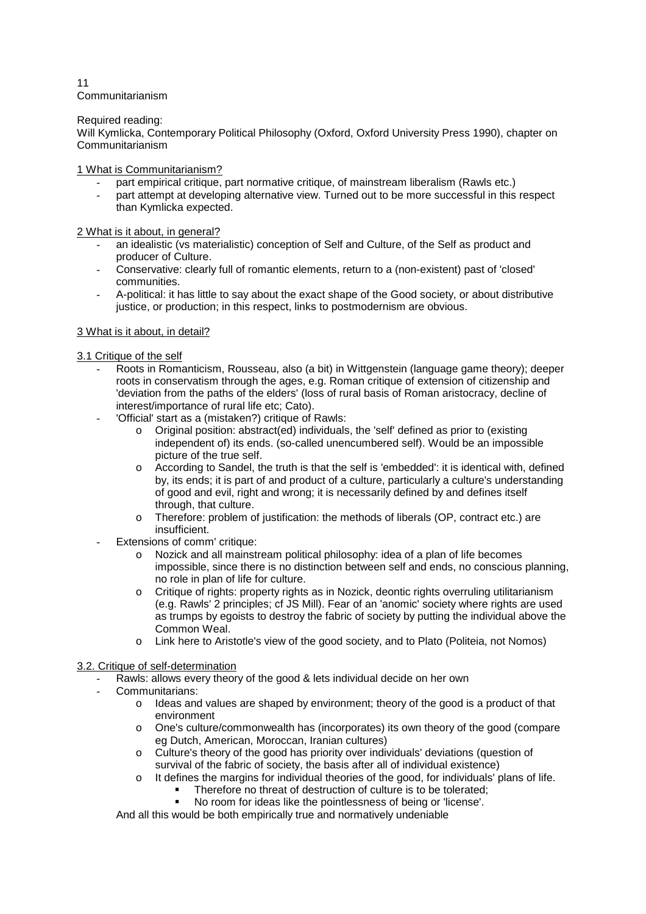11 Communitarianism

Required reading:

Will Kymlicka, Contemporary Political Philosophy (Oxford, Oxford University Press 1990), chapter on Communitarianism

1 What is Communitarianism?

- part empirical critique, part normative critique, of mainstream liberalism (Rawls etc.)
- part attempt at developing alternative view. Turned out to be more successful in this respect than Kymlicka expected.

2 What is it about, in general?

- an idealistic (vs materialistic) conception of Self and Culture, of the Self as product and producer of Culture.
- Conservative: clearly full of romantic elements, return to a (non-existent) past of 'closed' communities.
- A-political: it has little to say about the exact shape of the Good society, or about distributive justice, or production; in this respect, links to postmodernism are obvious.

## 3 What is it about, in detail?

3.1 Critique of the self

- Roots in Romanticism, Rousseau, also (a bit) in Wittgenstein (language game theory); deeper roots in conservatism through the ages, e.g. Roman critique of extension of citizenship and 'deviation from the paths of the elders' (loss of rural basis of Roman aristocracy, decline of interest/importance of rural life etc; Cato).
- 'Official' start as a (mistaken?) critique of Rawls:
	- o Original position: abstract(ed) individuals, the 'self' defined as prior to (existing independent of) its ends. (so-called unencumbered self). Would be an impossible picture of the true self.
	- o According to Sandel, the truth is that the self is 'embedded': it is identical with, defined by, its ends; it is part of and product of a culture, particularly a culture's understanding of good and evil, right and wrong; it is necessarily defined by and defines itself through, that culture.
	- o Therefore: problem of justification: the methods of liberals (OP, contract etc.) are insufficient.
- Extensions of comm' critique:
	- o Nozick and all mainstream political philosophy: idea of a plan of life becomes impossible, since there is no distinction between self and ends, no conscious planning, no role in plan of life for culture.
	- o Critique of rights: property rights as in Nozick, deontic rights overruling utilitarianism (e.g. Rawls' 2 principles; cf JS Mill). Fear of an 'anomic' society where rights are used as trumps by egoists to destroy the fabric of society by putting the individual above the Common Weal.
	- o Link here to Aristotle's view of the good society, and to Plato (Politeia, not Nomos)
- 3.2. Critique of self-determination
	- Rawls: allows every theory of the good & lets individual decide on her own
	- Communitarians:
		- $\circ$  Ideas and values are shaped by environment; theory of the good is a product of that environment
		- o One's culture/commonwealth has (incorporates) its own theory of the good (compare eg Dutch, American, Moroccan, Iranian cultures)
		- o Culture's theory of the good has priority over individuals' deviations (question of survival of the fabric of society, the basis after all of individual existence)
		- o It defines the margins for individual theories of the good, for individuals' plans of life.
			- Therefore no threat of destruction of culture is to be tolerated; No room for ideas like the pointlessness of being or 'license'.
		- And all this would be both empirically true and normatively undeniable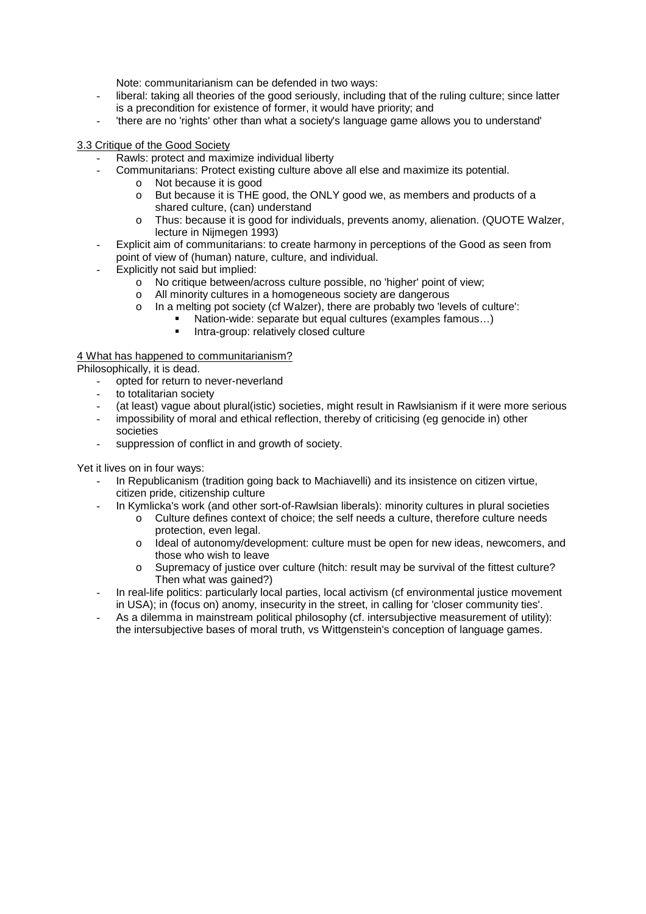Note: communitarianism can be defended in two ways:

- liberal: taking all theories of the good seriously, including that of the ruling culture; since latter is a precondition for existence of former, it would have priority; and
- 'there are no 'rights' other than what a society's language game allows you to understand'

## 3.3 Critique of the Good Society

- Rawls: protect and maximize individual liberty
	- Communitarians: Protect existing culture above all else and maximize its potential.
		- o Not because it is good
		- o But because it is THE good, the ONLY good we, as members and products of a shared culture, (can) understand
		- o Thus: because it is good for individuals, prevents anomy, alienation. (QUOTE Walzer, lecture in Nijmegen 1993)
- Explicit aim of communitarians: to create harmony in perceptions of the Good as seen from point of view of (human) nature, culture, and individual.
- Explicitly not said but implied:
	- o No critique between/across culture possible, no 'higher' point of view;
	- o All minority cultures in a homogeneous society are dangerous
	- o In a melting pot society (cf Walzer), there are probably two 'levels of culture':
		- Nation-wide: separate but equal cultures (examples famous…)
			- **Intra-group: relatively closed culture**

## 4 What has happened to communitarianism?

Philosophically, it is dead.

- opted for return to never-neverland
- to totalitarian society
- (at least) vague about plural(istic) societies, might result in Rawlsianism if it were more serious
- impossibility of moral and ethical reflection, thereby of criticising (eg genocide in) other societies
- suppression of conflict in and growth of society.

Yet it lives on in four ways:

- In Republicanism (tradition going back to Machiavelli) and its insistence on citizen virtue, citizen pride, citizenship culture
- In Kymlicka's work (and other sort-of-Rawlsian liberals): minority cultures in plural societies
	- $\circ$  Culture defines context of choice; the self needs a culture, therefore culture needs protection, even legal.
	- o ldeal of autonomy/development: culture must be open for new ideas, newcomers, and those who wish to leave
	- o Supremacy of justice over culture (hitch: result may be survival of the fittest culture? Then what was gained?)
- In real-life politics: particularly local parties, local activism (cf environmental justice movement in USA); in (focus on) anomy, insecurity in the street, in calling for 'closer community ties'.
- As a dilemma in mainstream political philosophy (cf. intersubjective measurement of utility): the intersubjective bases of moral truth, vs Wittgenstein's conception of language games.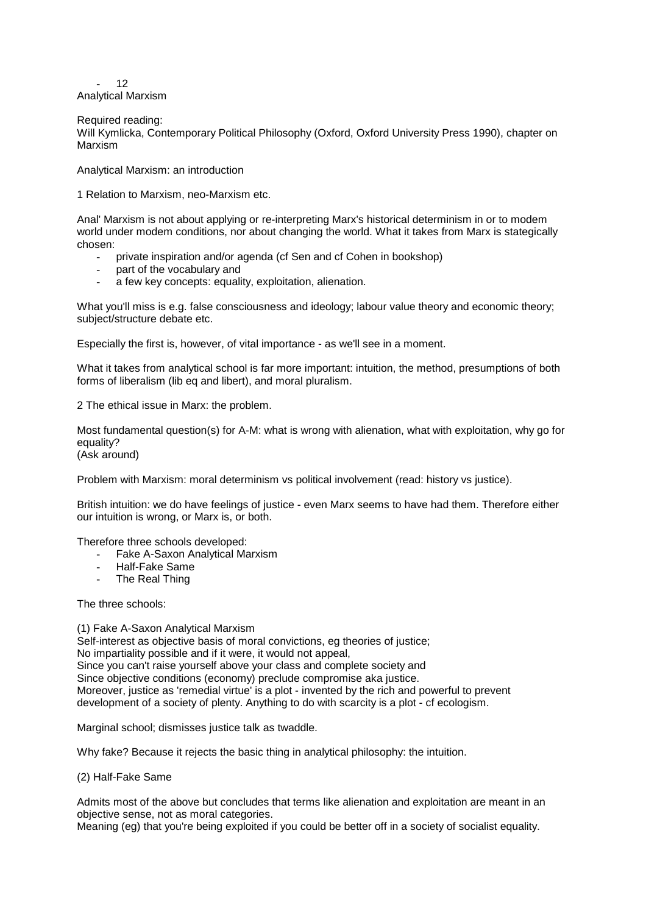$12$ Analytical Marxism

#### Required reading:

Will Kymlicka, Contemporary Political Philosophy (Oxford, Oxford University Press 1990), chapter on Marxism

Analytical Marxism: an introduction

1 Relation to Marxism, neo-Marxism etc.

Anal' Marxism is not about applying or re-interpreting Marx's historical determinism in or to modem world under modem conditions, nor about changing the world. What it takes from Marx is stategically chosen:

- private inspiration and/or agenda (cf Sen and cf Cohen in bookshop)
- part of the vocabulary and
- a few key concepts: equality, exploitation, alienation.

What you'll miss is e.g. false consciousness and ideology; labour value theory and economic theory; subject/structure debate etc.

Especially the first is, however, of vital importance - as we'll see in a moment.

What it takes from analytical school is far more important: intuition, the method, presumptions of both forms of liberalism (lib eq and libert), and moral pluralism.

2 The ethical issue in Marx: the problem.

Most fundamental question(s) for A-M: what is wrong with alienation, what with exploitation, why go for equality?

(Ask around)

Problem with Marxism: moral determinism vs political involvement (read: history vs justice).

British intuition: we do have feelings of justice - even Marx seems to have had them. Therefore either our intuition is wrong, or Marx is, or both.

Therefore three schools developed:

- Fake A-Saxon Analytical Marxism
- Half-Fake Same
- The Real Thing

The three schools:

(1) Fake A-Saxon Analytical Marxism Self-interest as objective basis of moral convictions, eg theories of justice;

No impartiality possible and if it were, it would not appeal,

Since you can't raise yourself above your class and complete society and Since objective conditions (economy) preclude compromise aka justice. Moreover, justice as 'remedial virtue' is a plot - invented by the rich and powerful to prevent

development of a society of plenty. Anything to do with scarcity is a plot - cf ecologism.

Marginal school; dismisses justice talk as twaddle.

Why fake? Because it rejects the basic thing in analytical philosophy: the intuition.

(2) Half-Fake Same

Admits most of the above but concludes that terms like alienation and exploitation are meant in an objective sense, not as moral categories.

Meaning (eg) that you're being exploited if you could be better off in a society of socialist equality.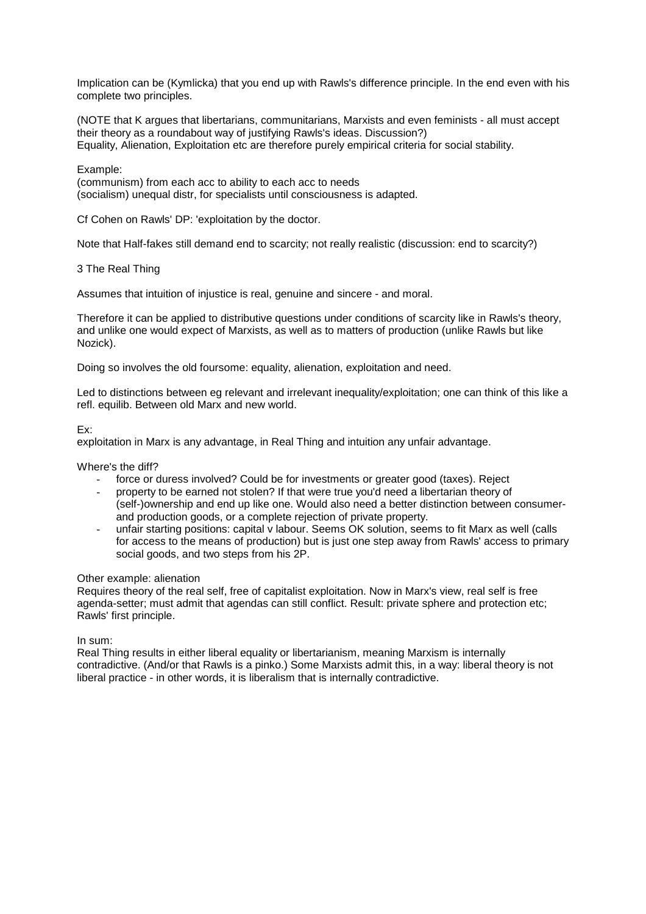Implication can be (Kymlicka) that you end up with Rawls's difference principle. In the end even with his complete two principles.

(NOTE that K argues that libertarians, communitarians, Marxists and even feminists - all must accept their theory as a roundabout way of justifying Rawls's ideas. Discussion?) Equality, Alienation, Exploitation etc are therefore purely empirical criteria for social stability.

### Example:

(communism) from each acc to ability to each acc to needs (socialism) unequal distr, for specialists until consciousness is adapted.

Cf Cohen on Rawls' DP: 'exploitation by the doctor.

Note that Half-fakes still demand end to scarcity; not really realistic (discussion: end to scarcity?)

#### 3 The Real Thing

Assumes that intuition of injustice is real, genuine and sincere - and moral.

Therefore it can be applied to distributive questions under conditions of scarcity like in Rawls's theory, and unlike one would expect of Marxists, as well as to matters of production (unlike Rawls but like Nozick).

Doing so involves the old foursome: equality, alienation, exploitation and need.

Led to distinctions between eg relevant and irrelevant inequality/exploitation; one can think of this like a refl. equilib. Between old Marx and new world.

#### Ex:

exploitation in Marx is any advantage, in Real Thing and intuition any unfair advantage.

Where's the diff?

- force or duress involved? Could be for investments or greater good (taxes). Reject
- property to be earned not stolen? If that were true you'd need a libertarian theory of (self-)ownership and end up like one. Would also need a better distinction between consumerand production goods, or a complete rejection of private property.
- unfair starting positions: capital v labour. Seems OK solution, seems to fit Marx as well (calls for access to the means of production) but is just one step away from Rawls' access to primary social goods, and two steps from his 2P.

#### Other example: alienation

Requires theory of the real self, free of capitalist exploitation. Now in Marx's view, real self is free agenda-setter; must admit that agendas can still conflict. Result: private sphere and protection etc; Rawls' first principle.

In sum:

Real Thing results in either liberal equality or libertarianism, meaning Marxism is internally contradictive. (And/or that Rawls is a pinko.) Some Marxists admit this, in a way: liberal theory is not liberal practice - in other words, it is liberalism that is internally contradictive.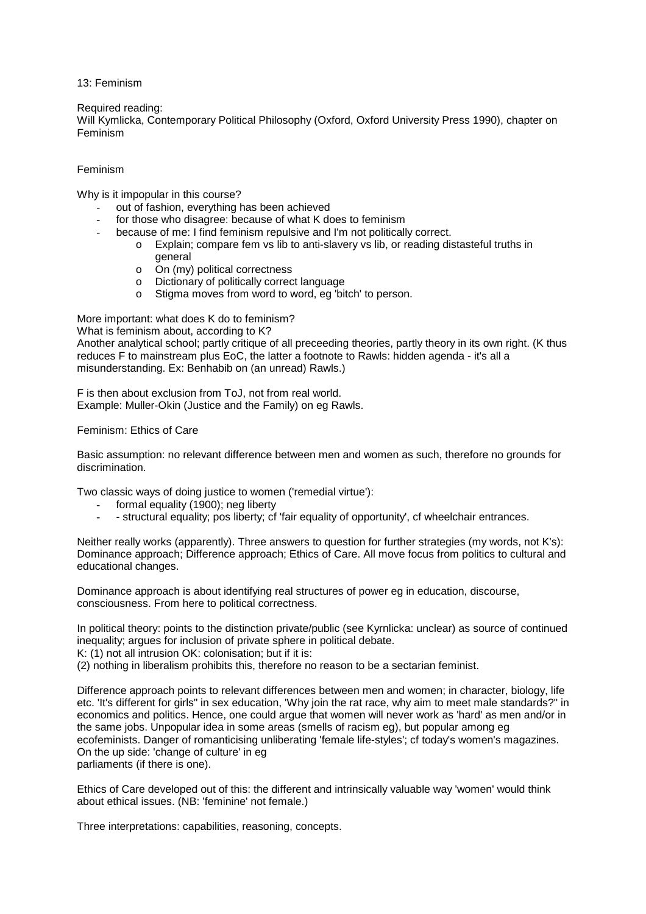13: Feminism

## Required reading:

Will Kymlicka, Contemporary Political Philosophy (Oxford, Oxford University Press 1990), chapter on Feminism

## Feminism

Why is it impopular in this course?

- out of fashion, everything has been achieved
- for those who disagree: because of what K does to feminism
- because of me: I find feminism repulsive and I'm not politically correct.
	- o Explain; compare fem vs lib to anti-slavery vs lib, or reading distasteful truths in general
	- o On (my) political correctness
	- o Dictionary of politically correct language
	- o Stigma moves from word to word, eg 'bitch' to person.

More important: what does K do to feminism?

What is feminism about, according to K?

Another analytical school; partly critique of all preceeding theories, partly theory in its own right. (K thus reduces F to mainstream plus EoC, the latter a footnote to Rawls: hidden agenda - it's all a misunderstanding. Ex: Benhabib on (an unread) Rawls.)

F is then about exclusion from ToJ, not from real world. Example: Muller-Okin (Justice and the Family) on eg Rawls.

Feminism: Ethics of Care

Basic assumption: no relevant difference between men and women as such, therefore no grounds for discrimination.

Two classic ways of doing justice to women ('remedial virtue'):

- formal equality (1900); neg liberty
- - structural equality; pos liberty; cf 'fair equality of opportunity', cf wheelchair entrances.

Neither really works (apparently). Three answers to question for further strategies (my words, not K's): Dominance approach; Difference approach; Ethics of Care. All move focus from politics to cultural and educational changes.

Dominance approach is about identifying real structures of power eg in education, discourse, consciousness. From here to political correctness.

In political theory: points to the distinction private/public (see Kyrnlicka: unclear) as source of continued inequality; argues for inclusion of private sphere in political debate.

K: (1) not all intrusion OK: colonisation; but if it is:

(2) nothing in liberalism prohibits this, therefore no reason to be a sectarian feminist.

Difference approach points to relevant differences between men and women; in character, biology, life etc. 'It's different for girls" in sex education, 'Why join the rat race, why aim to meet male standards?" in economics and politics. Hence, one could argue that women will never work as 'hard' as men and/or in the same jobs. Unpopular idea in some areas (smells of racism eg), but popular among eg ecofeminists. Danger of romanticising unliberating 'female life-styles'; cf today's women's magazines. On the up side: 'change of culture' in eg parliaments (if there is one).

Ethics of Care developed out of this: the different and intrinsically valuable way 'women' would think about ethical issues. (NB: 'feminine' not female.)

Three interpretations: capabilities, reasoning, concepts.